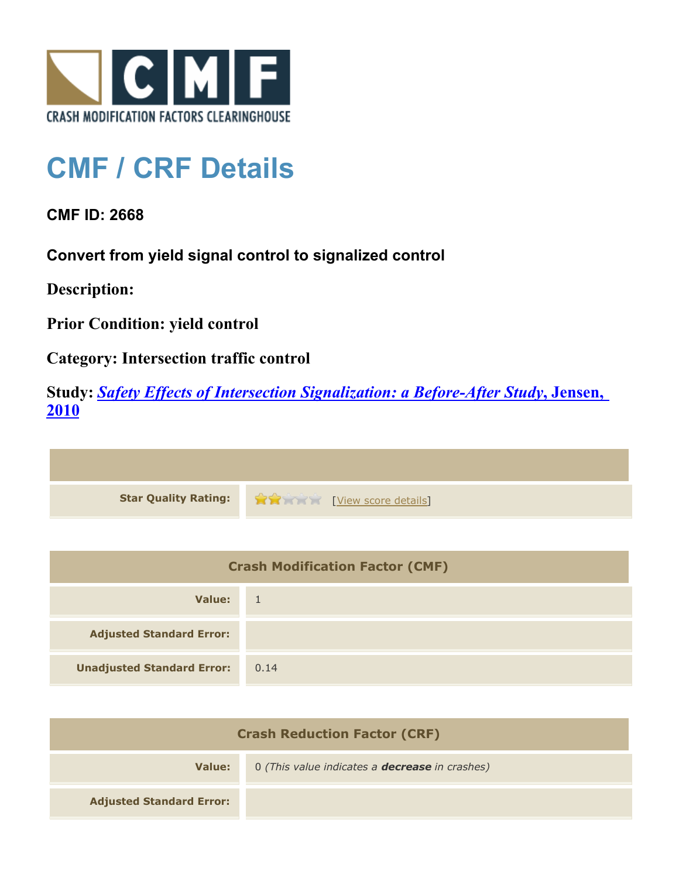

## **CMF / CRF Details**

**CMF ID: 2668**

**Convert from yield signal control to signalized control**

**Description:** 

**Prior Condition: yield control**

**Category: Intersection traffic control**

**Study:** *[Safety Effects of Intersection Signalization: a Before-After Study](http://www.cmfclearinghouse.org/study_detail.cfm?stid=170)***[, Jensen,](http://www.cmfclearinghouse.org/study_detail.cfm?stid=170) [2010](http://www.cmfclearinghouse.org/study_detail.cfm?stid=170)**



| <b>Crash Modification Factor (CMF)</b> |            |
|----------------------------------------|------------|
| Value:                                 | $\sqrt{1}$ |
| <b>Adjusted Standard Error:</b>        |            |
| <b>Unadjusted Standard Error:</b>      | 0.14       |

| <b>Crash Reduction Factor (CRF)</b> |                                                       |
|-------------------------------------|-------------------------------------------------------|
| Value:                              | 0 (This value indicates a <b>decrease</b> in crashes) |
| <b>Adjusted Standard Error:</b>     |                                                       |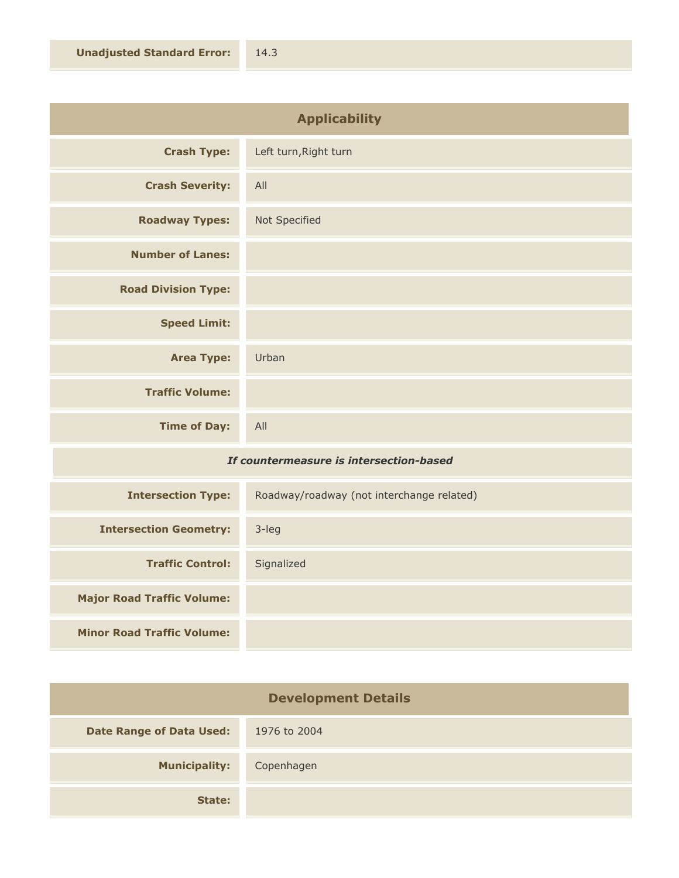| <b>Applicability</b>       |                       |
|----------------------------|-----------------------|
| <b>Crash Type:</b>         | Left turn, Right turn |
| <b>Crash Severity:</b>     | All                   |
| <b>Roadway Types:</b>      | Not Specified         |
| <b>Number of Lanes:</b>    |                       |
| <b>Road Division Type:</b> |                       |
| <b>Speed Limit:</b>        |                       |
| <b>Area Type:</b>          | Urban                 |
| <b>Traffic Volume:</b>     |                       |
| <b>Time of Day:</b>        | All                   |

## *If countermeasure is intersection-based*

| <b>Intersection Type:</b>         | Roadway/roadway (not interchange related) |
|-----------------------------------|-------------------------------------------|
| <b>Intersection Geometry:</b>     | 3-leg                                     |
| <b>Traffic Control:</b>           | Signalized                                |
| <b>Major Road Traffic Volume:</b> |                                           |
| <b>Minor Road Traffic Volume:</b> |                                           |

| <b>Development Details</b>      |              |
|---------------------------------|--------------|
| <b>Date Range of Data Used:</b> | 1976 to 2004 |
| <b>Municipality:</b>            | Copenhagen   |
| State:                          |              |